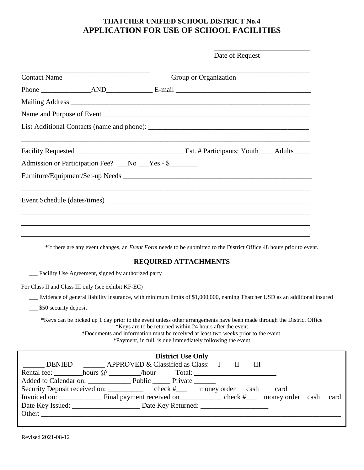# **THATCHER UNIFIED SCHOOL DISTRICT No.4 APPLICATION FOR USE OF SCHOOL FACILITIES**

|                       |                                                     | Date of Request                                                                                                                                                                                                                                                                                                                     |
|-----------------------|-----------------------------------------------------|-------------------------------------------------------------------------------------------------------------------------------------------------------------------------------------------------------------------------------------------------------------------------------------------------------------------------------------|
| <b>Contact Name</b>   |                                                     | Group or Organization                                                                                                                                                                                                                                                                                                               |
|                       |                                                     |                                                                                                                                                                                                                                                                                                                                     |
|                       |                                                     |                                                                                                                                                                                                                                                                                                                                     |
|                       |                                                     |                                                                                                                                                                                                                                                                                                                                     |
|                       |                                                     |                                                                                                                                                                                                                                                                                                                                     |
|                       |                                                     |                                                                                                                                                                                                                                                                                                                                     |
|                       |                                                     | Admission or Participation Fee? __No __Yes - \$______                                                                                                                                                                                                                                                                               |
|                       |                                                     |                                                                                                                                                                                                                                                                                                                                     |
|                       |                                                     |                                                                                                                                                                                                                                                                                                                                     |
|                       |                                                     |                                                                                                                                                                                                                                                                                                                                     |
|                       |                                                     |                                                                                                                                                                                                                                                                                                                                     |
|                       |                                                     |                                                                                                                                                                                                                                                                                                                                     |
|                       |                                                     | *If there are any event changes, an <i>Event Form</i> needs to be submitted to the District Office 48 hours prior to event.                                                                                                                                                                                                         |
|                       |                                                     | <b>REQUIRED ATTACHMENTS</b>                                                                                                                                                                                                                                                                                                         |
|                       | Facility Use Agreement, signed by authorized party  |                                                                                                                                                                                                                                                                                                                                     |
|                       | For Class II and Class III only (see exhibit KF-EC) |                                                                                                                                                                                                                                                                                                                                     |
|                       |                                                     | Evidence of general liability insurance, with minimum limits of \$1,000,000, naming Thatcher USD as an additional insured                                                                                                                                                                                                           |
| \$50 security deposit |                                                     |                                                                                                                                                                                                                                                                                                                                     |
|                       |                                                     | *Keys can be picked up 1 day prior to the event unless other arrangements have been made through the District Office<br>*Keys are to be returned within 24 hours after the event<br>*Documents and information must be received at least two weeks prior to the event.<br>*Payment, in full, is due immediately following the event |
|                       |                                                     | <b>District Use Only</b>                                                                                                                                                                                                                                                                                                            |
|                       |                                                     | DENIED _______ APPROVED & Classified as Class: I II<br>Ш                                                                                                                                                                                                                                                                            |
|                       |                                                     |                                                                                                                                                                                                                                                                                                                                     |
|                       |                                                     | Security Deposit received on: ____________ check #____ money order cash<br>card                                                                                                                                                                                                                                                     |
|                       |                                                     | card                                                                                                                                                                                                                                                                                                                                |
|                       |                                                     |                                                                                                                                                                                                                                                                                                                                     |
|                       |                                                     |                                                                                                                                                                                                                                                                                                                                     |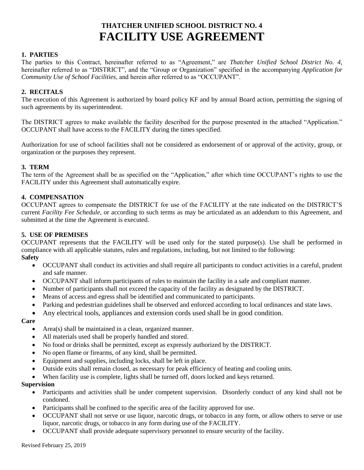# **THATCHER UNIFIED SCHOOL DISTRICT NO. 4 FACILITY USE AGREEMENT**

#### **1. PARTIES**

The parties to this Contract, hereinafter referred to as "Agreement," are *Thatcher Unified School District No. 4*, hereinafter referred to as "DISTRICT", and the "Group or Organization" specified in the accompanying *Application for Community Use of School Facilities*, and herein after referred to as "OCCUPANT".

#### **2. RECITALS**

The execution of this Agreement is authorized by board policy KF and by annual Board action, permitting the signing of such agreements by its superintendent.

The DISTRICT agrees to make available the facility described for the purpose presented in the attached "Application." OCCUPANT shall have access to the FACILITY during the times specified.

Authorization for use of school facilities shall not be considered as endorsement of or approval of the activity, group, or organization or the purposes they represent.

#### **3. TERM**

The term of the Agreement shall be as specified on the "Application," after which time OCCUPANT's rights to use the FACILITY under this Agreement shall automatically expire.

#### **4. COMPENSATION**

OCCUPANT agrees to compensate the DISTRICT for use of the FACILITY at the rate indicated on the DISTRICT'S current *Facility Fee Schedule*, or according to such terms as may be articulated as an addendum to this Agreement, and submitted at the time the Agreement is executed.

#### **5. USE OF PREMISES**

OCCUPANT represents that the FACILITY will be used only for the stated purpose(s). Use shall be performed in compliance with all applicable statutes, rules and regulations, including, but not limited to the following: **Safety**

- OCCUPANT shall conduct its activities and shall require all participants to conduct activities in a careful, prudent and safe manner.
- OCCUPANT shall inform participants of rules to maintain the facility in a safe and compliant manner.
- Number of participants shall not exceed the capacity of the facility as designated by the DISTRICT.
- Means of access and egress shall be identified and communicated to participants.
- Parking and pedestrian guidelines shall be observed and enforced according to local ordinances and state laws.

• Any electrical tools, appliances and extension cords used shall be in good condition.

#### **Care**

- Area(s) shall be maintained in a clean, organized manner.
- All materials used shall be properly handled and stored.
- No food or drinks shall be permitted, except as expressly authorized by the DISTRICT.
- No open flame or firearms, of any kind, shall be permitted.
- Equipment and supplies, including locks, shall be left in place.
- Outside exits shall remain closed, as necessary for peak efficiency of heating and cooling units.
- When facility use is complete, lights shall be turned off, doors locked and keys returned.

#### **Supervision**

- Participants and activities shall be under competent supervision. Disorderly conduct of any kind shall not be condoned.
- Participants shall be confined to the specific area of the facility approved for use.
- OCCUPANT shall not serve or use liquor, narcotic drugs, or tobacco in any form, or allow others to serve or use liquor, narcotic drugs, or tobacco in any form during use of the FACILITY.
- OCCUPANT shall provide adequate supervisory personnel to ensure security of the facility.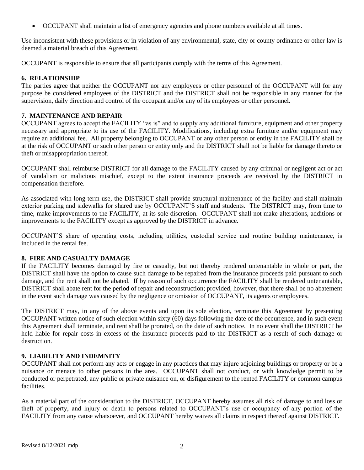• OCCUPANT shall maintain a list of emergency agencies and phone numbers available at all times.

Use inconsistent with these provisions or in violation of any environmental, state, city or county ordinance or other law is deemed a material breach of this Agreement.

OCCUPANT is responsible to ensure that all participants comply with the terms of this Agreement.

#### **6. RELATIONSHIP**

The parties agree that neither the OCCUPANT nor any employees or other personnel of the OCCUPANT will for any purpose be considered employees of the DISTRICT and the DISTRICT shall not be responsible in any manner for the supervision, daily direction and control of the occupant and/or any of its employees or other personnel.

#### **7. MAINTENANCE AND REPAIR**

OCCUPANT agrees to accept the FACILITY "as is" and to supply any additional furniture, equipment and other property necessary and appropriate to its use of the FACILITY. Modifications, including extra furniture and/or equipment may require an additional fee. All property belonging to OCCUPANT or any other person or entity in the FACILITY shall be at the risk of OCCUPANT or such other person or entity only and the DISTRICT shall not be liable for damage thereto or theft or misappropriation thereof.

OCCUPANT shall reimburse DISTRICT for all damage to the FACILITY caused by any criminal or negligent act or act of vandalism or malicious mischief, except to the extent insurance proceeds are received by the DISTRICT in compensation therefore.

As associated with long-term use, the DISTRICT shall provide structural maintenance of the facility and shall maintain exterior parking and sidewalks for shared use by OCCUPANT'S staff and students. The DISTRICT may, from time to time, make improvements to the FACILITY, at its sole discretion. OCCUPANT shall not make alterations, additions or improvements to the FACILITY except as approved by the DISTRICT in advance.

OCCUPANT'S share of operating costs, including utilities, custodial service and routine building maintenance, is included in the rental fee.

#### **8. FIRE AND CASUALTY DAMAGE**

If the FACILITY becomes damaged by fire or casualty, but not thereby rendered untenantable in whole or part, the DISTRICT shall have the option to cause such damage to be repaired from the insurance proceeds paid pursuant to such damage, and the rent shall not be abated. If by reason of such occurrence the FACILITY shall be rendered untenantable, DISTRICT shall abate rent for the period of repair and reconstruction; provided, however, that there shall be no abatement in the event such damage was caused by the negligence or omission of OCCUPANT, its agents or employees.

The DISTRICT may, in any of the above events and upon its sole election, terminate this Agreement by presenting OCCUPANT written notice of such election within sixty (60) days following the date of the occurrence, and in such event this Agreement shall terminate, and rent shall be prorated, on the date of such notice. In no event shall the DISTRICT be held liable for repair costs in excess of the insurance proceeds paid to the DISTRICT as a result of such damage or destruction.

### **9. LIABILITY AND INDEMNITY**

OCCUPANT shall not perform any acts or engage in any practices that may injure adjoining buildings or property or be a nuisance or menace to other persons in the area. OCCUPANT shall not conduct, or with knowledge permit to be conducted or perpetrated, any public or private nuisance on, or disfigurement to the rented FACILITY or common campus **facilities** 

As a material part of the consideration to the DISTRICT, OCCUPANT hereby assumes all risk of damage to and loss or theft of property, and injury or death to persons related to OCCUPANT's use or occupancy of any portion of the FACILITY from any cause whatsoever, and OCCUPANT hereby waives all claims in respect thereof against DISTRICT.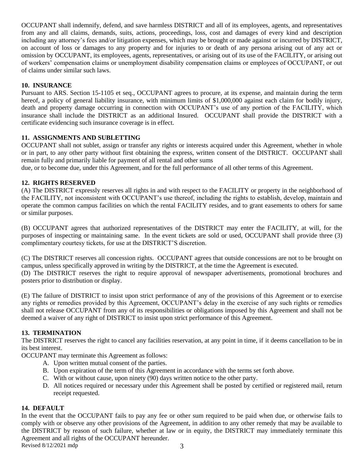OCCUPANT shall indemnify, defend, and save harmless DISTRICT and all of its employees, agents, and representatives from any and all claims, demands, suits, actions, proceedings, loss, cost and damages of every kind and description including any attorney's fees and/or litigation expenses, which may be brought or made against or incurred by DISTRICT, on account of loss or damages to any property and for injuries to or death of any persona arising out of any act or omission by OCCUPANT, its employees, agents, representatives, or arising out of its use of the FACILITY, or arising out of workers' compensation claims or unemployment disability compensation claims or employees of OCCUPANT, or out of claims under similar such laws.

### **10. INSURANCE**

Pursuant to ARS. Section 15-1105 et seq., OCCUPANT agrees to procure, at its expense, and maintain during the term hereof, a policy of general liability insurance, with minimum limits of \$1,000,000 against each claim for bodily injury, death and property damage occurring in connection with OCCUPANT's use of any portion of the FACILITY, which insurance shall include the DISTRICT as an additional Insured. OCCUPANT shall provide the DISTRICT with a certificate evidencing such insurance coverage is in effect.

### **11. ASSIGNMENTS AND SUBLETTING**

OCCUPANT shall not sublet, assign or transfer any rights or interests acquired under this Agreement, whether in whole or in part, to any other party without first obtaining the express, written consent of the DISTRICT. OCCUPANT shall remain fully and primarily liable for payment of all rental and other sums

due, or to become due, under this Agreement, and for the full performance of all other terms of this Agreement.

### **12. RIGHTS RESERVED**

(A) The DISTRICT expressly reserves all rights in and with respect to the FACILITY or property in the neighborhood of the FACILITY, not inconsistent with OCCUPANT's use thereof, including the rights to establish, develop, maintain and operate the common campus facilities on which the rental FACILITY resides, and to grant easements to others for same or similar purposes.

(B) OCCUPANT agrees that authorized representatives of the DISTRICT may enter the FACILITY, at will, for the purposes of inspecting or maintaining same. In the event tickets are sold or used, OCCUPANT shall provide three (3) complimentary courtesy tickets, for use at the DISTRICT'S discretion.

(C) The DISTRICT reserves all concession rights. OCCUPANT agrees that outside concessions are not to be brought on campus, unless specifically approved in writing by the DISTRICT, at the time the Agreement is executed. (D) The DISTRICT reserves the right to require approval of newspaper advertisements, promotional brochures and posters prior to distribution or display.

(E) The failure of DISTRICT to insist upon strict performance of any of the provisions of this Agreement or to exercise any rights or remedies provided by this Agreement, OCCUPANT's delay in the exercise of any such rights or remedies shall not release OCCUPANT from any of its responsibilities or obligations imposed by this Agreement and shall not be deemed a waiver of any right of DISTRICT to insist upon strict performance of this Agreement.

### **13. TERMINATION**

The DISTRICT reserves the right to cancel any facilities reservation, at any point in time, if it deems cancellation to be in its best interest.

OCCUPANT may terminate this Agreement as follows:

- A. Upon written mutual consent of the parties.
- B. Upon expiration of the term of this Agreement in accordance with the terms set forth above.
- C. With or without cause, upon ninety (90) days written notice to the other party.
- D. All notices required or necessary under this Agreement shall be posted by certified or registered mail, return receipt requested.

### **14. DEFAULT**

Revised  $8/12/2021$  mdp  $3$ In the event that the OCCUPANT fails to pay any fee or other sum required to be paid when due, or otherwise fails to comply with or observe any other provisions of the Agreement, in addition to any other remedy that may be available to the DISTRICT by reason of such failure, whether at law or in equity, the DISTRICT may immediately terminate this Agreement and all rights of the OCCUPANT hereunder.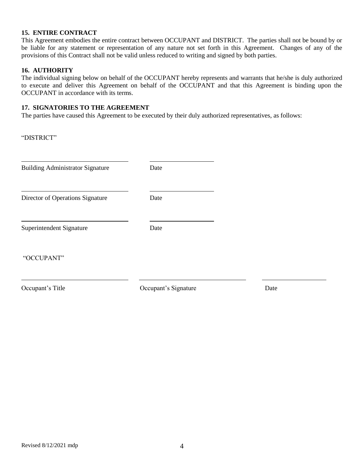#### **15. ENTIRE CONTRACT**

This Agreement embodies the entire contract between OCCUPANT and DISTRICT. The parties shall not be bound by or be liable for any statement or representation of any nature not set forth in this Agreement. Changes of any of the provisions of this Contract shall not be valid unless reduced to writing and signed by both parties.

#### **16. AUTHORITY**

The individual signing below on behalf of the OCCUPANT hereby represents and warrants that he/she is duly authorized to execute and deliver this Agreement on behalf of the OCCUPANT and that this Agreement is binding upon the OCCUPANT in accordance with its terms.

#### **17. SIGNATORIES TO THE AGREEMENT**

The parties have caused this Agreement to be executed by their duly authorized representatives, as follows:

| "DISTRICT"                              |                      |      |
|-----------------------------------------|----------------------|------|
| <b>Building Administrator Signature</b> | Date                 |      |
| Director of Operations Signature        | Date                 |      |
| Superintendent Signature                | Date                 |      |
| "OCCUPANT"                              |                      |      |
| Occupant's Title                        | Occupant's Signature | Date |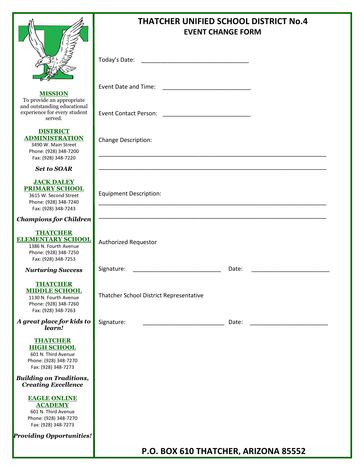

**MISSION** To provide an appropriate and outstanding educational experience for every student served.

**DISTRICT ADMINISTRATION** 3490 W. Main Street Phone: (928) 348-7200 Fax: (928) 348-7220

*Set to SOAR*

#### **JACK DALEY PRIMARY SCHOOL**

3615 W. Second Street Phone: (928) 348-7240 Fax: (928) 348-7243

*Champions for Children*

#### **THATCHER ELEMENTARY SCHOOL**

1386 N. Fourth Avenue Phone: (928) 348-7250 Fax: (928) 348-7253

*Nurturing Success*

#### **THATCHER MIDDLE SCHOOL**

1130 N. Fourth Avenue Phone: (928) 348-7260 Fax: (928) 348-7263

*A great place for kids to learn!*

#### **THATCHER HIGH SCHOOL**

601 N. Third Avenue Phone: (928) 348-7270 Fax: (928) 348-7273

*Building on Traditions, Creating Excellence*

> **EAGLE ONLINE ACADEMY** 601 N. Third Avenue

Phone: (928) 348-7270 Fax: (928) 348-7273

*Providing Opportunities!*

# **THATCHER UNIFIED SCHOOL DISTRICT No.4 EVENT CHANGE FORM**

\_\_\_\_\_\_\_\_\_\_\_\_\_\_\_\_\_\_\_\_\_\_\_\_\_\_\_\_\_\_\_\_\_\_\_\_\_\_\_\_\_\_\_\_\_\_\_\_\_\_\_\_\_\_\_\_\_\_\_\_\_\_\_\_\_\_\_\_\_\_

\_\_\_\_\_\_\_\_\_\_\_\_\_\_\_\_\_\_\_\_\_\_\_\_\_\_\_\_\_\_\_\_\_\_\_\_\_\_\_\_\_\_\_\_\_\_\_\_\_\_\_\_\_\_\_\_\_\_\_\_\_\_\_\_\_\_\_\_\_\_

\_\_\_\_\_\_\_\_\_\_\_\_\_\_\_\_\_\_\_\_\_\_\_\_\_\_\_\_\_\_\_\_\_\_\_\_\_\_\_\_\_\_\_\_\_\_\_\_\_\_\_\_\_\_\_\_\_\_\_\_\_\_\_\_\_\_\_\_\_\_

\_\_\_\_\_\_\_\_\_\_\_\_\_\_\_\_\_\_\_\_\_\_\_\_\_\_\_\_\_\_\_\_\_\_\_\_\_\_\_\_\_\_\_\_\_\_\_\_\_\_\_\_\_\_\_\_\_\_\_\_\_\_\_\_\_\_\_\_\_\_

Today's Date:  $\blacksquare$ 

Event Date and Time: \_\_\_\_\_\_\_\_\_\_\_\_\_\_\_\_\_\_\_\_\_\_\_\_\_\_\_

Event Contact Person: \_\_\_\_\_\_\_\_\_\_\_\_\_\_\_\_\_\_\_\_\_\_\_\_\_\_\_

Change Description:

Equipment Description:

Authorized Requestor

Signature: \_\_\_\_\_\_\_\_\_\_\_\_\_\_\_\_\_\_\_\_\_\_\_\_\_\_\_ Date: \_\_\_\_\_\_\_\_\_\_\_\_\_\_\_\_\_\_\_\_\_\_\_\_

Thatcher School District Representative

Signature: \_\_\_\_\_\_\_\_\_\_\_\_\_\_\_\_\_\_\_\_\_\_\_\_\_ Date: \_\_\_\_\_\_\_\_\_\_\_\_\_\_\_\_\_\_\_\_\_\_\_\_

**P.O. BOX 610 THATCHER, ARIZONA 85552**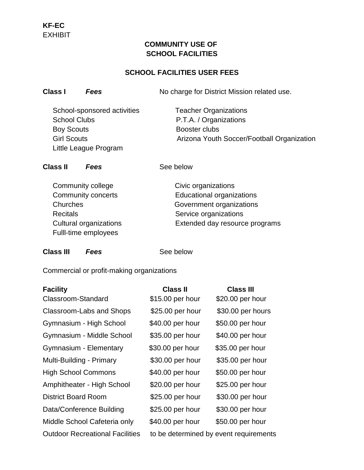# **COMMUNITY USE OF SCHOOL FACILITIES**

# **SCHOOL FACILITIES USER FEES**

**Class I** *Fees* No charge for District Mission related use.

School-sponsored activities Teacher Organizations School Clubs **P.T.A. / Organizations** Boy Scouts **Booster clubs** Little League Program

Girl Scouts **Arizona Youth Soccer/Football Organization** 

**Class II** *Fees* See below

Community college Civic organizations Recitals **Service organizations** Fulll-time employees

 Community concerts Educational organizations Churches Government organizations Cultural organizations Extended day resource programs

## **Class III** *Fees* See below

Commercial or profit-making organizations

| <b>Facility</b>                        | <b>Class II</b>                        | <b>Class III</b>  |
|----------------------------------------|----------------------------------------|-------------------|
| Classroom-Standard                     | \$15.00 per hour                       | \$20.00 per hour  |
| Classroom-Labs and Shops               | \$25.00 per hour                       | \$30.00 per hours |
| Gymnasium - High School                | \$40.00 per hour                       | \$50.00 per hour  |
| Gymnasium - Middle School              | \$35.00 per hour                       | \$40.00 per hour  |
| Gymnasium - Elementary                 | \$30.00 per hour                       | \$35.00 per hour  |
| Multi-Building - Primary               | \$30.00 per hour                       | \$35.00 per hour  |
| <b>High School Commons</b>             | \$40.00 per hour                       | \$50.00 per hour  |
| Amphitheater - High School             | \$20.00 per hour                       | \$25.00 per hour  |
| <b>District Board Room</b>             | \$25.00 per hour                       | \$30.00 per hour  |
| Data/Conference Building               | \$25.00 per hour                       | \$30.00 per hour  |
| Middle School Cafeteria only           | \$40.00 per hour                       | \$50.00 per hour  |
| <b>Outdoor Recreational Facilities</b> | to be determined by event requirements |                   |